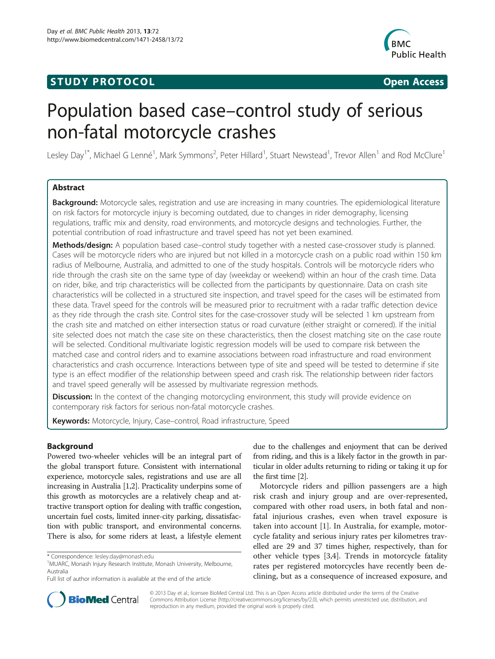# **STUDY PROTOCOL CONSUMING THE CONSUMING OPEN ACCESS**



# Population based case–control study of serious non-fatal motorcycle crashes

Lesley Day<sup>1\*</sup>, Michael G Lenné<sup>1</sup>, Mark Symmons<sup>2</sup>, Peter Hillard<sup>1</sup>, Stuart Newstead<sup>1</sup>, Trevor Allen<sup>1</sup> and Rod McClure<sup>1</sup>

# Abstract

Background: Motorcycle sales, registration and use are increasing in many countries. The epidemiological literature on risk factors for motorcycle injury is becoming outdated, due to changes in rider demography, licensing regulations, traffic mix and density, road environments, and motorcycle designs and technologies. Further, the potential contribution of road infrastructure and travel speed has not yet been examined.

Methods/design: A population based case–control study together with a nested case-crossover study is planned. Cases will be motorcycle riders who are injured but not killed in a motorcycle crash on a public road within 150 km radius of Melbourne, Australia, and admitted to one of the study hospitals. Controls will be motorcycle riders who ride through the crash site on the same type of day (weekday or weekend) within an hour of the crash time. Data on rider, bike, and trip characteristics will be collected from the participants by questionnaire. Data on crash site characteristics will be collected in a structured site inspection, and travel speed for the cases will be estimated from these data. Travel speed for the controls will be measured prior to recruitment with a radar traffic detection device as they ride through the crash site. Control sites for the case-crossover study will be selected 1 km upstream from the crash site and matched on either intersection status or road curvature (either straight or cornered). If the initial site selected does not match the case site on these characteristics, then the closest matching site on the case route will be selected. Conditional multivariate logistic regression models will be used to compare risk between the matched case and control riders and to examine associations between road infrastructure and road environment characteristics and crash occurrence. Interactions between type of site and speed will be tested to determine if site type is an effect modifier of the relationship between speed and crash risk. The relationship between rider factors and travel speed generally will be assessed by multivariate regression methods.

**Discussion:** In the context of the changing motorcycling environment, this study will provide evidence on contemporary risk factors for serious non-fatal motorcycle crashes.

Keywords: Motorcycle, Injury, Case-control, Road infrastructure, Speed

# Background

Powered two-wheeler vehicles will be an integral part of the global transport future. Consistent with international experience, motorcycle sales, registrations and use are all increasing in Australia [\[1,2\]](#page-5-0). Practicality underpins some of this growth as motorcycles are a relatively cheap and attractive transport option for dealing with traffic congestion, uncertain fuel costs, limited inner-city parking, dissatisfaction with public transport, and environmental concerns. There is also, for some riders at least, a lifestyle element

due to the challenges and enjoyment that can be derived from riding, and this is a likely factor in the growth in particular in older adults returning to riding or taking it up for the first time [\[2\]](#page-5-0).

Motorcycle riders and pillion passengers are a high risk crash and injury group and are over-represented, compared with other road users, in both fatal and nonfatal injurious crashes, even when travel exposure is taken into account [\[1](#page-5-0)]. In Australia, for example, motorcycle fatality and serious injury rates per kilometres travelled are 29 and 37 times higher, respectively, than for other vehicle types [[3,4\]](#page-5-0). Trends in motorcycle fatality rates per registered motorcycles have recently been declining, but as a consequence of increased exposure, and



© 2013 Day et al.; licensee BioMed Central Ltd. This is an Open Access article distributed under the terms of the Creative Commons Attribution License [\(http://creativecommons.org/licenses/by/2.0\)](http://creativecommons.org/licenses/by/2.0), which permits unrestricted use, distribution, and reproduction in any medium, provided the original work is properly cited.

<sup>\*</sup> Correspondence: [lesley.day@monash.edu](mailto:lesley.day@monash.edu) <sup>1</sup>

<sup>&</sup>lt;sup>1</sup>MUARC, Monash Injury Research Institute, Monash University, Melbourne, Australia

Full list of author information is available at the end of the article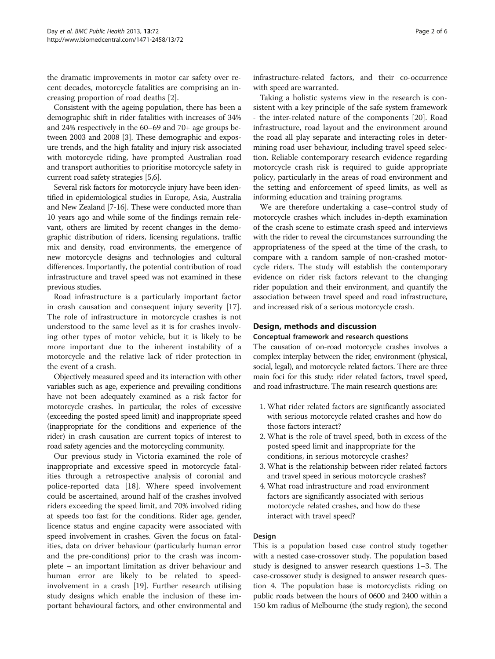the dramatic improvements in motor car safety over recent decades, motorcycle fatalities are comprising an increasing proportion of road deaths [[2\]](#page-5-0).

Consistent with the ageing population, there has been a demographic shift in rider fatalities with increases of 34% and 24% respectively in the 60–69 and 70+ age groups between 2003 and 2008 [\[3\]](#page-5-0). These demographic and exposure trends, and the high fatality and injury risk associated with motorcycle riding, have prompted Australian road and transport authorities to prioritise motorcycle safety in current road safety strategies [\[5,6](#page-5-0)].

Several risk factors for motorcycle injury have been identified in epidemiological studies in Europe, Asia, Australia and New Zealand [\[7-16\]](#page-5-0). These were conducted more than 10 years ago and while some of the findings remain relevant, others are limited by recent changes in the demographic distribution of riders, licensing regulations, traffic mix and density, road environments, the emergence of new motorcycle designs and technologies and cultural differences. Importantly, the potential contribution of road infrastructure and travel speed was not examined in these previous studies.

Road infrastructure is a particularly important factor in crash causation and consequent injury severity [\[17](#page-5-0)]. The role of infrastructure in motorcycle crashes is not understood to the same level as it is for crashes involving other types of motor vehicle, but it is likely to be more important due to the inherent instability of a motorcycle and the relative lack of rider protection in the event of a crash.

Objectively measured speed and its interaction with other variables such as age, experience and prevailing conditions have not been adequately examined as a risk factor for motorcycle crashes. In particular, the roles of excessive (exceeding the posted speed limit) and inappropriate speed (inappropriate for the conditions and experience of the rider) in crash causation are current topics of interest to road safety agencies and the motorcycling community.

Our previous study in Victoria examined the role of inappropriate and excessive speed in motorcycle fatalities through a retrospective analysis of coronial and police-reported data [[18](#page-5-0)]. Where speed involvement could be ascertained, around half of the crashes involved riders exceeding the speed limit, and 70% involved riding at speeds too fast for the conditions. Rider age, gender, licence status and engine capacity were associated with speed involvement in crashes. Given the focus on fatalities, data on driver behaviour (particularly human error and the pre-conditions) prior to the crash was incomplete – an important limitation as driver behaviour and human error are likely to be related to speedinvolvement in a crash [[19](#page-5-0)]. Further research utilising study designs which enable the inclusion of these important behavioural factors, and other environmental and

infrastructure-related factors, and their co-occurrence with speed are warranted.

Taking a holistic systems view in the research is consistent with a key principle of the safe system framework - the inter-related nature of the components [[20\]](#page-5-0). Road infrastructure, road layout and the environment around the road all play separate and interacting roles in determining road user behaviour, including travel speed selection. Reliable contemporary research evidence regarding motorcycle crash risk is required to guide appropriate policy, particularly in the areas of road environment and the setting and enforcement of speed limits, as well as informing education and training programs.

We are therefore undertaking a case–control study of motorcycle crashes which includes in-depth examination of the crash scene to estimate crash speed and interviews with the rider to reveal the circumstances surrounding the appropriateness of the speed at the time of the crash, to compare with a random sample of non-crashed motorcycle riders. The study will establish the contemporary evidence on rider risk factors relevant to the changing rider population and their environment, and quantify the association between travel speed and road infrastructure, and increased risk of a serious motorcycle crash.

# Design, methods and discussion

#### Conceptual framework and research questions

The causation of on-road motorcycle crashes involves a complex interplay between the rider, environment (physical, social, legal), and motorcycle related factors. There are three main foci for this study: rider related factors, travel speed, and road infrastructure. The main research questions are:

- 1. What rider related factors are significantly associated with serious motorcycle related crashes and how do those factors interact?
- 2. What is the role of travel speed, both in excess of the posted speed limit and inappropriate for the conditions, in serious motorcycle crashes?
- 3. What is the relationship between rider related factors and travel speed in serious motorcycle crashes?
- 4. What road infrastructure and road environment factors are significantly associated with serious motorcycle related crashes, and how do these interact with travel speed?

#### Design

This is a population based case control study together with a nested case-crossover study. The population based study is designed to answer research questions 1–3. The case-crossover study is designed to answer research question 4. The population base is motorcyclists riding on public roads between the hours of 0600 and 2400 within a 150 km radius of Melbourne (the study region), the second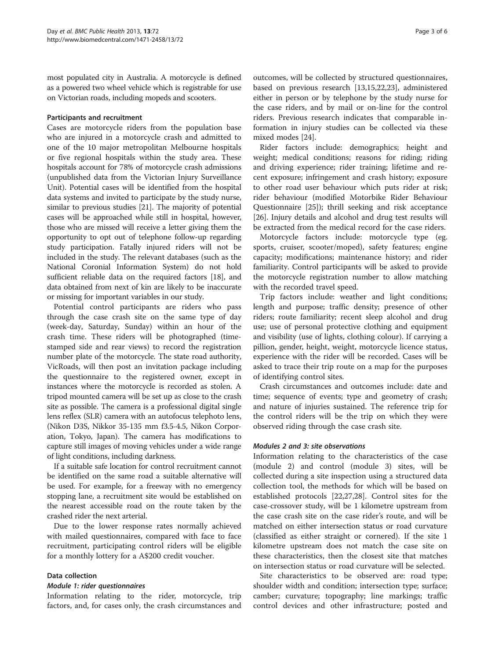most populated city in Australia. A motorcycle is defined as a powered two wheel vehicle which is registrable for use on Victorian roads, including mopeds and scooters.

## Participants and recruitment

Cases are motorcycle riders from the population base who are injured in a motorcycle crash and admitted to one of the 10 major metropolitan Melbourne hospitals or five regional hospitals within the study area. These hospitals account for 78% of motorcycle crash admissions (unpublished data from the Victorian Injury Surveillance Unit). Potential cases will be identified from the hospital data systems and invited to participate by the study nurse, similar to previous studies [\[21\]](#page-5-0). The majority of potential cases will be approached while still in hospital, however, those who are missed will receive a letter giving them the opportunity to opt out of telephone follow-up regarding study participation. Fatally injured riders will not be included in the study. The relevant databases (such as the National Coronial Information System) do not hold sufficient reliable data on the required factors [\[18](#page-5-0)], and data obtained from next of kin are likely to be inaccurate or missing for important variables in our study.

Potential control participants are riders who pass through the case crash site on the same type of day (week-day, Saturday, Sunday) within an hour of the crash time. These riders will be photographed (timestamped side and rear views) to record the registration number plate of the motorcycle. The state road authority, VicRoads, will then post an invitation package including the questionnaire to the registered owner, except in instances where the motorcycle is recorded as stolen. A tripod mounted camera will be set up as close to the crash site as possible. The camera is a professional digital single lens reflex (SLR) camera with an autofocus telephoto lens, (Nikon D3S, Nikkor 35-135 mm f3.5-4.5, Nikon Corporation, Tokyo, Japan). The camera has modifications to capture still images of moving vehicles under a wide range of light conditions, including darkness.

If a suitable safe location for control recruitment cannot be identified on the same road a suitable alternative will be used. For example, for a freeway with no emergency stopping lane, a recruitment site would be established on the nearest accessible road on the route taken by the crashed rider the next arterial.

Due to the lower response rates normally achieved with mailed questionnaires, compared with face to face recruitment, participating control riders will be eligible for a monthly lottery for a A\$200 credit voucher.

# Data collection

#### Module 1: rider questionnaires

Information relating to the rider, motorcycle, trip factors, and, for cases only, the crash circumstances and

outcomes, will be collected by structured questionnaires, based on previous research [[13](#page-5-0),[15](#page-5-0),[22](#page-5-0),[23](#page-5-0)], administered either in person or by telephone by the study nurse for the case riders, and by mail or on-line for the control riders. Previous research indicates that comparable information in injury studies can be collected via these mixed modes [[24](#page-5-0)].

Rider factors include: demographics; height and weight; medical conditions; reasons for riding; riding and driving experience; rider training; lifetime and recent exposure; infringement and crash history; exposure to other road user behaviour which puts rider at risk; rider behaviour (modified Motorbike Rider Behaviour Questionnaire [[25\]](#page-5-0)); thrill seeking and risk acceptance [[26\]](#page-5-0). Injury details and alcohol and drug test results will be extracted from the medical record for the case riders.

Motorcycle factors include: motorcycle type (eg. sports, cruiser, scooter/moped), safety features; engine capacity; modifications; maintenance history; and rider familiarity. Control participants will be asked to provide the motorcycle registration number to allow matching with the recorded travel speed.

Trip factors include: weather and light conditions; length and purpose; traffic density; presence of other riders; route familiarity; recent sleep alcohol and drug use; use of personal protective clothing and equipment and visibility (use of lights, clothing colour). If carrying a pillion, gender, height, weight, motorcycle licence status, experience with the rider will be recorded. Cases will be asked to trace their trip route on a map for the purposes of identifying control sites.

Crash circumstances and outcomes include: date and time; sequence of events; type and geometry of crash; and nature of injuries sustained. The reference trip for the control riders will be the trip on which they were observed riding through the case crash site.

# Modules 2 and 3: site observations

Information relating to the characteristics of the case (module 2) and control (module 3) sites, will be collected during a site inspection using a structured data collection tool, the methods for which will be based on established protocols [\[22,27,28](#page-5-0)]. Control sites for the case-crossover study, will be 1 kilometre upstream from the case crash site on the case rider's route, and will be matched on either intersection status or road curvature (classified as either straight or cornered). If the site 1 kilometre upstream does not match the case site on these characteristics, then the closest site that matches on intersection status or road curvature will be selected.

Site characteristics to be observed are: road type; shoulder width and condition; intersection type; surface; camber; curvature; topography; line markings; traffic control devices and other infrastructure; posted and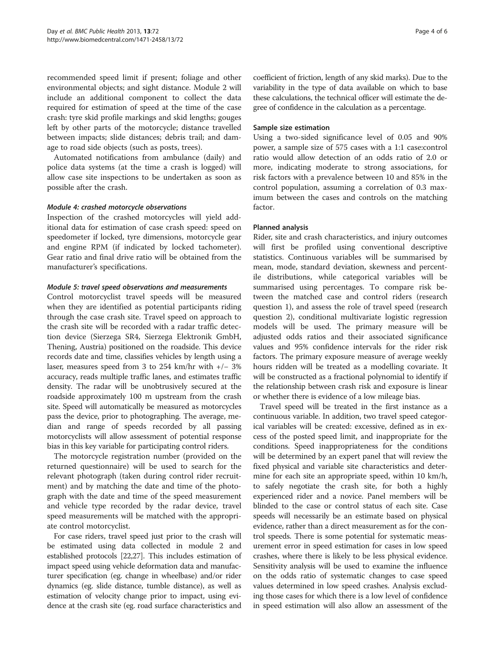recommended speed limit if present; foliage and other environmental objects; and sight distance. Module 2 will include an additional component to collect the data required for estimation of speed at the time of the case crash: tyre skid profile markings and skid lengths; gouges left by other parts of the motorcycle; distance travelled between impacts; slide distances; debris trail; and damage to road side objects (such as posts, trees).

Automated notifications from ambulance (daily) and police data systems (at the time a crash is logged) will allow case site inspections to be undertaken as soon as possible after the crash.

#### Module 4: crashed motorcycle observations

Inspection of the crashed motorcycles will yield additional data for estimation of case crash speed: speed on speedometer if locked, tyre dimensions, motorcycle gear and engine RPM (if indicated by locked tachometer). Gear ratio and final drive ratio will be obtained from the manufacturer's specifications.

## Module 5: travel speed observations and measurements

Control motorcyclist travel speeds will be measured when they are identified as potential participants riding through the case crash site. Travel speed on approach to the crash site will be recorded with a radar traffic detection device (Sierzega SR4, Sierzega Elektronik GmbH, Thening, Austria) positioned on the roadside. This device records date and time, classifies vehicles by length using a laser, measures speed from 3 to 254 km/hr with  $+/- 3\%$ accuracy, reads multiple traffic lanes, and estimates traffic density. The radar will be unobtrusively secured at the roadside approximately 100 m upstream from the crash site. Speed will automatically be measured as motorcycles pass the device, prior to photographing. The average, median and range of speeds recorded by all passing motorcyclists will allow assessment of potential response bias in this key variable for participating control riders.

The motorcycle registration number (provided on the returned questionnaire) will be used to search for the relevant photograph (taken during control rider recruitment) and by matching the date and time of the photograph with the date and time of the speed measurement and vehicle type recorded by the radar device, travel speed measurements will be matched with the appropriate control motorcyclist.

For case riders, travel speed just prior to the crash will be estimated using data collected in module 2 and established protocols [\[22,27](#page-5-0)]. This includes estimation of impact speed using vehicle deformation data and manufacturer specification (eg. change in wheelbase) and/or rider dynamics (eg. slide distance, tumble distance), as well as estimation of velocity change prior to impact, using evidence at the crash site (eg. road surface characteristics and coefficient of friction, length of any skid marks). Due to the variability in the type of data available on which to base these calculations, the technical officer will estimate the degree of confidence in the calculation as a percentage.

#### Sample size estimation

Using a two-sided significance level of 0.05 and 90% power, a sample size of 575 cases with a 1:1 case:control ratio would allow detection of an odds ratio of 2.0 or more, indicating moderate to strong associations, for risk factors with a prevalence between 10 and 85% in the control population, assuming a correlation of 0.3 maximum between the cases and controls on the matching factor.

## Planned analysis

Rider, site and crash characteristics, and injury outcomes will first be profiled using conventional descriptive statistics. Continuous variables will be summarised by mean, mode, standard deviation, skewness and percentile distributions, while categorical variables will be summarised using percentages. To compare risk between the matched case and control riders (research question 1), and assess the role of travel speed (research question 2), conditional multivariate logistic regression models will be used. The primary measure will be adjusted odds ratios and their associated significance values and 95% confidence intervals for the rider risk factors. The primary exposure measure of average weekly hours ridden will be treated as a modelling covariate. It will be constructed as a fractional polynomial to identify if the relationship between crash risk and exposure is linear or whether there is evidence of a low mileage bias.

Travel speed will be treated in the first instance as a continuous variable. In addition, two travel speed categorical variables will be created: excessive, defined as in excess of the posted speed limit, and inappropriate for the conditions. Speed inappropriateness for the conditions will be determined by an expert panel that will review the fixed physical and variable site characteristics and determine for each site an appropriate speed, within 10 km/h, to safely negotiate the crash site, for both a highly experienced rider and a novice. Panel members will be blinded to the case or control status of each site. Case speeds will necessarily be an estimate based on physical evidence, rather than a direct measurement as for the control speeds. There is some potential for systematic measurement error in speed estimation for cases in low speed crashes, where there is likely to be less physical evidence. Sensitivity analysis will be used to examine the influence on the odds ratio of systematic changes to case speed values determined in low speed crashes. Analysis excluding those cases for which there is a low level of confidence in speed estimation will also allow an assessment of the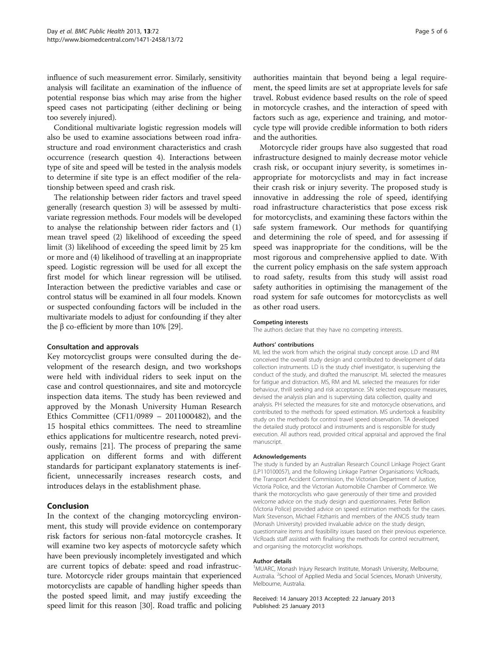influence of such measurement error. Similarly, sensitivity analysis will facilitate an examination of the influence of potential response bias which may arise from the higher speed cases not participating (either declining or being too severely injured).

Conditional multivariate logistic regression models will also be used to examine associations between road infrastructure and road environment characteristics and crash occurrence (research question 4). Interactions between type of site and speed will be tested in the analysis models to determine if site type is an effect modifier of the relationship between speed and crash risk.

The relationship between rider factors and travel speed generally (research question 3) will be assessed by multivariate regression methods. Four models will be developed to analyse the relationship between rider factors and (1) mean travel speed (2) likelihood of exceeding the speed limit (3) likelihood of exceeding the speed limit by 25 km or more and (4) likelihood of travelling at an inappropriate speed. Logistic regression will be used for all except the first model for which linear regression will be utilised. Interaction between the predictive variables and case or control status will be examined in all four models. Known or suspected confounding factors will be included in the multivariate models to adjust for confounding if they alter the β co-efficient by more than  $10\%$  [\[29\]](#page-5-0).

#### Consultation and approvals

Key motorcyclist groups were consulted during the development of the research design, and two workshops were held with individual riders to seek input on the case and control questionnaires, and site and motorcycle inspection data items. The study has been reviewed and approved by the Monash University Human Research Ethics Committee (CF11/0989 – 2011000482), and the 15 hospital ethics committees. The need to streamline ethics applications for multicentre research, noted previously, remains [[21\]](#page-5-0). The process of preparing the same application on different forms and with different standards for participant explanatory statements is inefficient, unnecessarily increases research costs, and introduces delays in the establishment phase.

#### Conclusion

In the context of the changing motorcycling environment, this study will provide evidence on contemporary risk factors for serious non-fatal motorcycle crashes. It will examine two key aspects of motorcycle safety which have been previously incompletely investigated and which are current topics of debate: speed and road infrastructure. Motorcycle rider groups maintain that experienced motorcyclists are capable of handling higher speeds than the posted speed limit, and may justify exceeding the speed limit for this reason [\[30\]](#page-5-0). Road traffic and policing authorities maintain that beyond being a legal requirement, the speed limits are set at appropriate levels for safe travel. Robust evidence based results on the role of speed in motorcycle crashes, and the interaction of speed with factors such as age, experience and training, and motorcycle type will provide credible information to both riders and the authorities.

Motorcycle rider groups have also suggested that road infrastructure designed to mainly decrease motor vehicle crash risk, or occupant injury severity, is sometimes inappropriate for motorcyclists and may in fact increase their crash risk or injury severity. The proposed study is innovative in addressing the role of speed, identifying road infrastructure characteristics that pose excess risk for motorcyclists, and examining these factors within the safe system framework. Our methods for quantifying and determining the role of speed, and for assessing if speed was inappropriate for the conditions, will be the most rigorous and comprehensive applied to date. With the current policy emphasis on the safe system approach to road safety, results from this study will assist road safety authorities in optimising the management of the road system for safe outcomes for motorcyclists as well as other road users.

#### Competing interests

The authors declare that they have no competing interests.

#### Authors' contributions

ML led the work from which the original study concept arose. LD and RM conceived the overall study design and contributed to development of data collection instruments. LD is the study chief investigator, is supervising the conduct of the study, and drafted the manuscript. ML selected the measures for fatigue and distraction. MS, RM and ML selected the measures for rider behaviour, thrill seeking and risk acceptance. SN selected exposure measures, devised the analysis plan and is supervising data collection, quality and analysis. PH selected the measures for site and motorcycle observations, and contributed to the methods for speed estimation. MS undertook a feasibility study on the methods for control travel speed observation. TA developed the detailed study protocol and instruments and is responsible for study execution. All authors read, provided critical appraisal and approved the final manuscript.

#### Acknowledgements

The study is funded by an Australian Research Council Linkage Project Grant (LP110100057), and the following Linkage Partner Organisations: VicRoads, the Transport Accident Commission, the Victorian Department of Justice, Victoria Police, and the Victorian Automobile Chamber of Commerce. We thank the motorcyclists who gave generously of their time and provided welcome advice on the study design and questionnaires. Peter Bellion (Victoria Police) provided advice on speed estimation methods for the cases. Mark Stevenson, Michael Fitzharris and members of the ANCIS study team (Monash University) provided invaluable advice on the study design, questionnaire items and feasibility issues based on their previous experience. VicRoads staff assisted with finalising the methods for control recruitment, and organising the motorcyclist workshops.

#### Author details

<sup>1</sup>MUARC, Monash Injury Research Institute, Monash University, Melbourne, Australia. <sup>2</sup>School of Applied Media and Social Sciences, Monash University Melbourne, Australia.

Received: 14 January 2013 Accepted: 22 January 2013 Published: 25 January 2013